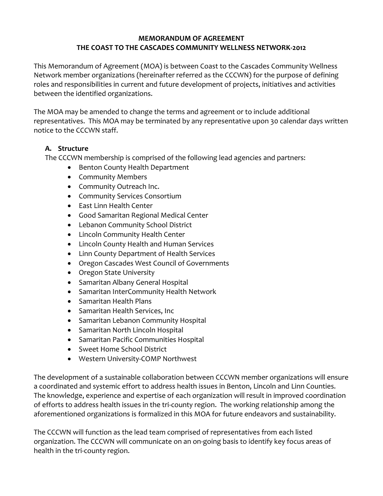## **MEMORANDUM OF AGREEMENT THE COAST TO THE CASCADES COMMUNITY WELLNESS NETWORK-2012**

This Memorandum of Agreement (MOA) is between Coast to the Cascades Community Wellness Network member organizations (hereinafter referred as the CCCWN) for the purpose of defining roles and responsibilities in current and future development of projects, initiatives and activities between the identified organizations.

The MOA may be amended to change the terms and agreement or to include additional representatives. This MOA may be terminated by any representative upon 30 calendar days written notice to the CCCWN staff.

# **A. Structure**

The CCCWN membership is comprised of the following lead agencies and partners:

- Benton County Health Department
- Community Members
- Community Outreach Inc.
- Community Services Consortium
- East Linn Health Center
- Good Samaritan Regional Medical Center
- Lebanon Community School District
- Lincoln Community Health Center
- Lincoln County Health and Human Services
- Linn County Department of Health Services
- Oregon Cascades West Council of Governments
- Oregon State University
- Samaritan Albany General Hospital
- Samaritan InterCommunity Health Network
- Samaritan Health Plans
- Samaritan Health Services, Inc
- Samaritan Lebanon Community Hospital
- Samaritan North Lincoln Hospital
- Samaritan Pacific Communities Hospital
- Sweet Home School District
- Western University-COMP Northwest

The development of a sustainable collaboration between CCCWN member organizations will ensure a coordinated and systemic effort to address health issues in Benton, Lincoln and Linn Counties. The knowledge, experience and expertise of each organization will result in improved coordination of efforts to address health issues in the tri-county region. The working relationship among the aforementioned organizations is formalized in this MOA for future endeavors and sustainability.

The CCCWN will function as the lead team comprised of representatives from each listed organization. The CCCWN will communicate on an on-going basis to identify key focus areas of health in the tri-county region.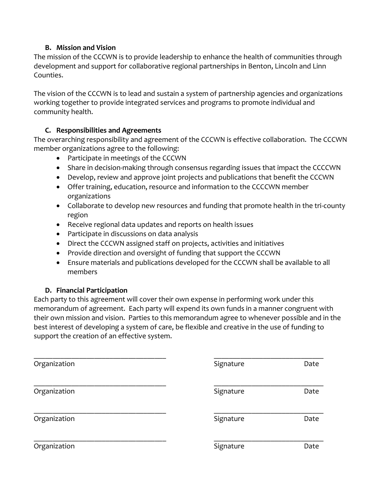# **B. Mission and Vision**

The mission of the CCCWN is to provide leadership to enhance the health of communities through development and support for collaborative regional partnerships in Benton, Lincoln and Linn Counties.

The vision of the CCCWN is to lead and sustain a system of partnership agencies and organizations working together to provide integrated services and programs to promote individual and community health.

# **C. Responsibilities and Agreements**

The overarching responsibility and agreement of the CCCWN is effective collaboration. The CCCWN member organizations agree to the following:

- Participate in meetings of the CCCWN
- Share in decision-making through consensus regarding issues that impact the CCCCWN
- Develop, review and approve joint projects and publications that benefit the CCCWN
- Offer training, education, resource and information to the CCCCWN member organizations
- Collaborate to develop new resources and funding that promote health in the tri-county region
- Receive regional data updates and reports on health issues
- Participate in discussions on data analysis
- Direct the CCCWN assigned staff on projects, activities and initiatives
- Provide direction and oversight of funding that support the CCCWN
- Ensure materials and publications developed for the CCCWN shall be available to all members

#### **D. Financial Participation**

Each party to this agreement will cover their own expense in performing work under this memorandum of agreement. Each party will expend its own funds in a manner congruent with their own mission and vision. Parties to this memorandum agree to whenever possible and in the best interest of developing a system of care, be flexible and creative in the use of funding to support the creation of an effective system.

| Organization | Signature | Date |
|--------------|-----------|------|
| Organization | Signature | Date |
| Organization | Signature | Date |
| Organization | Signature | Date |